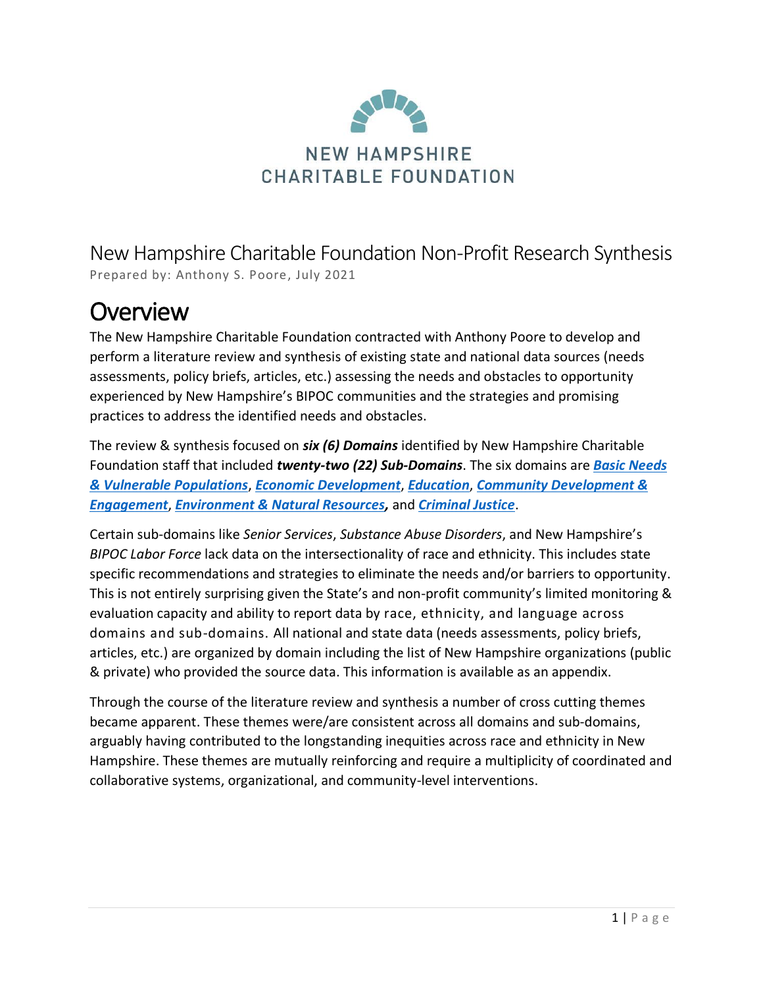

New Hampshire Charitable Foundation Non-Profit Research Synthesis Prepared by: Anthony S. Poore, July 2021

## **Overview**

The New Hampshire Charitable Foundation contracted with Anthony Poore to develop and perform a literature review and synthesis of existing state and national data sources (needs assessments, policy briefs, articles, etc.) assessing the needs and obstacles to opportunity experienced by New Hampshire's BIPOC communities and the strategies and promising practices to address the identified needs and obstacles.

<span id="page-0-0"></span>The review & synthesis focused on *six (6) Domains* identified by New Hampshire Charitable Foundation staff that included *twenty-two (22) Sub-Domains*. The six domains are *[Basic Needs](#page-0-0) [& Vulnerable Populations](#page-0-0)*, *[Economic Development](#page-10-0)*, *[Education](#page-13-0)*, *[Community Development &](#page-16-0)  [Engagement](#page-16-0)*, *[Environment & Natural Resources,](#page-18-0)* and *[Criminal Justice](#page-19-0)*.

Certain sub-domains like *Senior Services*, *Substance Abuse Disorders*, and New Hampshire's *BIPOC Labor Force* lack data on the intersectionality of race and ethnicity. This includes state specific recommendations and strategies to eliminate the needs and/or barriers to opportunity. This is not entirely surprising given the State's and non-profit community's limited monitoring & evaluation capacity and ability to report data by race, ethnicity, and language across domains and sub-domains. All national and state data (needs assessments, policy briefs, articles, etc.) are organized by domain including the list of New Hampshire organizations (public & private) who provided the source data. This information is available as an appendix.

Through the course of the literature review and synthesis a number of cross cutting themes became apparent. These themes were/are consistent across all domains and sub-domains, arguably having contributed to the longstanding inequities across race and ethnicity in New Hampshire. These themes are mutually reinforcing and require a multiplicity of coordinated and collaborative systems, organizational, and community-level interventions.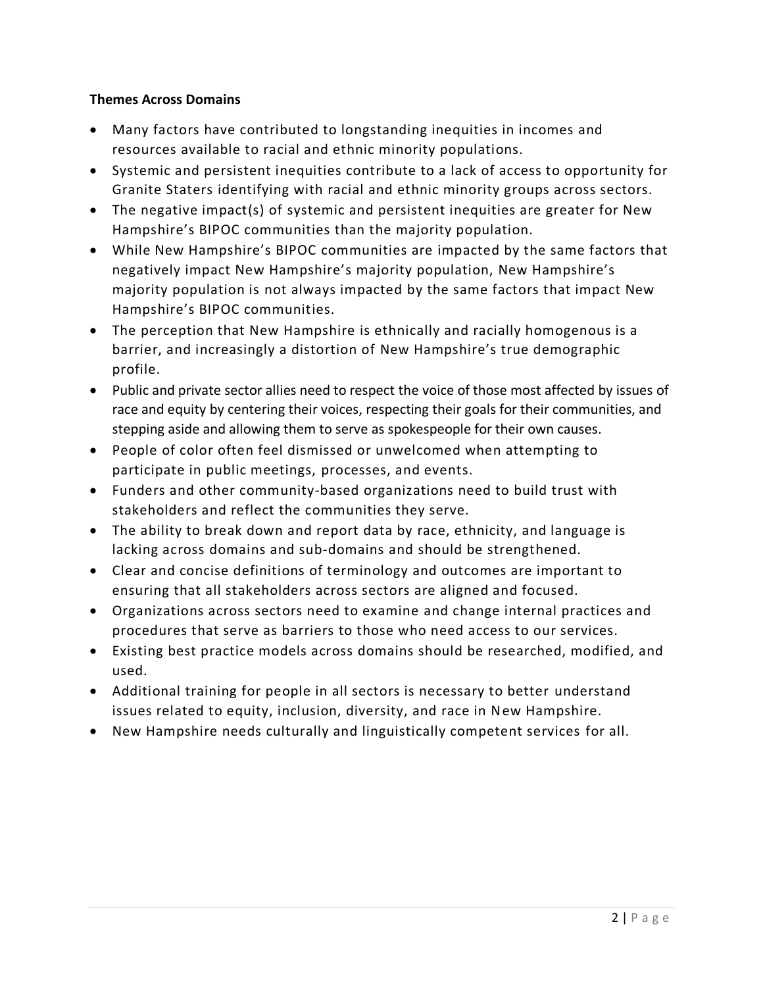#### **Themes Across Domains**

- Many factors have contributed to longstanding inequities in incomes and resources available to racial and ethnic minority populations.
- Systemic and persistent inequities contribute to a lack of access to opportunity for Granite Staters identifying with racial and ethnic minority groups across sectors.
- The negative impact(s) of systemic and persistent inequities are greater for New Hampshire's BIPOC communities than the majority population.
- While New Hampshire's BIPOC communities are impacted by the same factors that negatively impact New Hampshire's majority population, New Hampshire's majority population is not always impacted by the same factors that impact New Hampshire's BIPOC communities.
- The perception that New Hampshire is ethnically and racially homogenous is a barrier, and increasingly a distortion of New Hampshire's true demographic profile.
- Public and private sector allies need to respect the voice of those most affected by issues of race and equity by centering their voices, respecting their goals for their communities, and stepping aside and allowing them to serve as spokespeople for their own causes.
- People of color often feel dismissed or unwelcomed when attempting to participate in public meetings, processes, and events.
- Funders and other community-based organizations need to build trust with stakeholders and reflect the communities they serve.
- The ability to break down and report data by race, ethnicity, and language is lacking across domains and sub-domains and should be strengthened.
- Clear and concise definitions of terminology and outcomes are important to ensuring that all stakeholders across sectors are aligned and focused.
- Organizations across sectors need to examine and change internal practices and procedures that serve as barriers to those who need access to our services.
- Existing best practice models across domains should be researched, modified, and used.
- Additional training for people in all sectors is necessary to better understand issues related to equity, inclusion, diversity, and race in New Hampshire.
- New Hampshire needs culturally and linguistically competent services for all.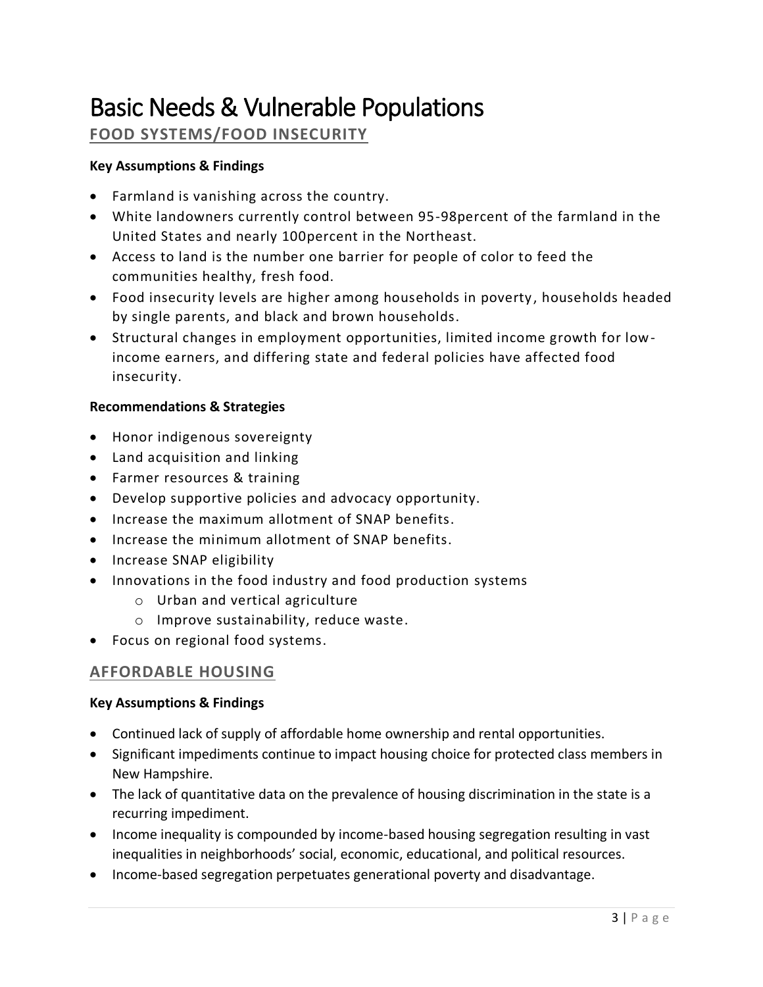## Basic Needs & Vulnerable Populations

## **FOOD SYSTEMS/FOOD INSECURITY**

#### **Key Assumptions & Findings**

- Farmland is vanishing across the country.
- White landowners currently control between 95-98percent of the farmland in the United States and nearly 100percent in the Northeast.
- Access to land is the number one barrier for people of color to feed the communities healthy, fresh food.
- Food insecurity levels are higher among households in poverty , households headed by single parents, and black and brown households.
- Structural changes in employment opportunities, limited income growth for lowincome earners, and differing state and federal policies have affected food insecurity.

#### **Recommendations & Strategies**

- Honor indigenous sovereignty
- Land acquisition and linking
- Farmer resources & training
- Develop supportive policies and advocacy opportunity.
- Increase the maximum allotment of SNAP benefits.
- Increase the minimum allotment of SNAP benefits.
- Increase SNAP eligibility
- Innovations in the food industry and food production systems
	- o Urban and vertical agriculture
	- o Improve sustainability, reduce waste.
- Focus on regional food systems.

## **AFFORDABLE HOUSING**

- Continued lack of supply of affordable home ownership and rental opportunities.
- Significant impediments continue to impact housing choice for protected class members in New Hampshire.
- The lack of quantitative data on the prevalence of housing discrimination in the state is a recurring impediment.
- Income inequality is compounded by income-based housing segregation resulting in vast inequalities in neighborhoods' social, economic, educational, and political resources.
- Income-based segregation perpetuates generational poverty and disadvantage.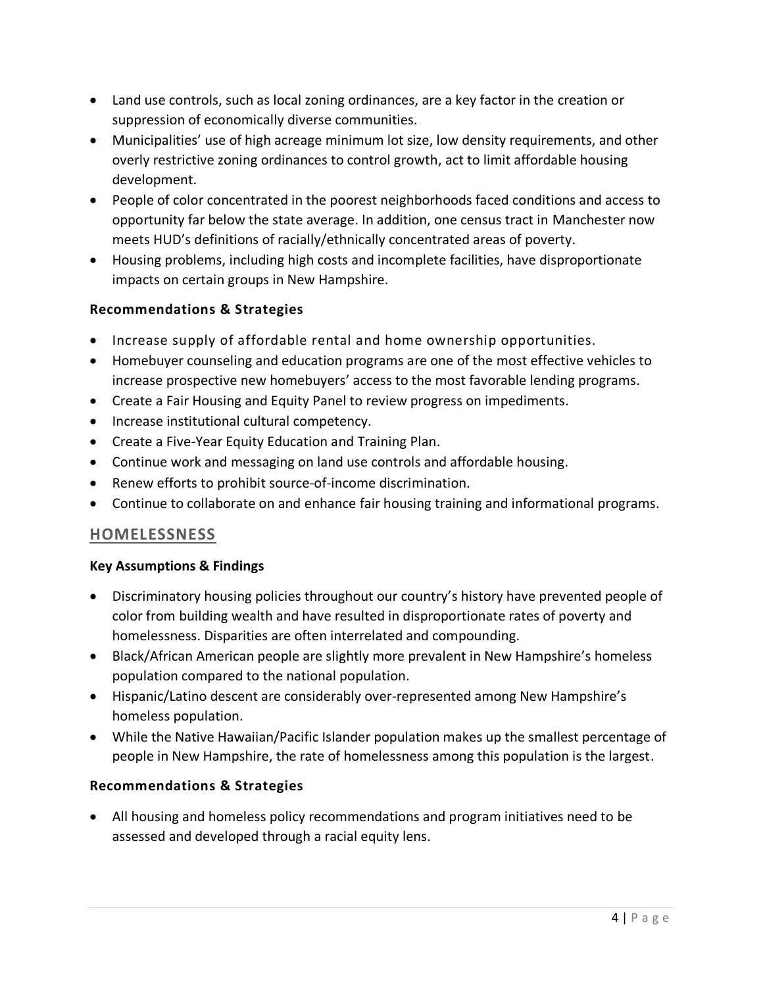- Land use controls, such as local zoning ordinances, are a key factor in the creation or suppression of economically diverse communities.
- Municipalities' use of high acreage minimum lot size, low density requirements, and other overly restrictive zoning ordinances to control growth, act to limit affordable housing development.
- People of color concentrated in the poorest neighborhoods faced conditions and access to opportunity far below the state average. In addition, one census tract in Manchester now meets HUD's definitions of racially/ethnically concentrated areas of poverty.
- Housing problems, including high costs and incomplete facilities, have disproportionate impacts on certain groups in New Hampshire.

- Increase supply of affordable rental and home ownership opportunities.
- Homebuyer counseling and education programs are one of the most effective vehicles to increase prospective new homebuyers' access to the most favorable lending programs.
- Create a Fair Housing and Equity Panel to review progress on impediments.
- Increase institutional cultural competency.
- Create a Five-Year Equity Education and Training Plan.
- Continue work and messaging on land use controls and affordable housing.
- Renew efforts to prohibit source-of-income discrimination.
- Continue to collaborate on and enhance fair housing training and informational programs.

## **HOMELESSNESS**

#### **Key Assumptions & Findings**

- Discriminatory housing policies throughout our country's history have prevented people of color from building wealth and have resulted in disproportionate rates of poverty and homelessness. Disparities are often interrelated and compounding.
- Black/African American people are slightly more prevalent in New Hampshire's homeless population compared to the national population.
- Hispanic/Latino descent are considerably over-represented among New Hampshire's homeless population.
- While the Native Hawaiian/Pacific Islander population makes up the smallest percentage of people in New Hampshire, the rate of homelessness among this population is the largest.

#### **Recommendations & Strategies**

• All housing and homeless policy recommendations and program initiatives need to be assessed and developed through a racial equity lens.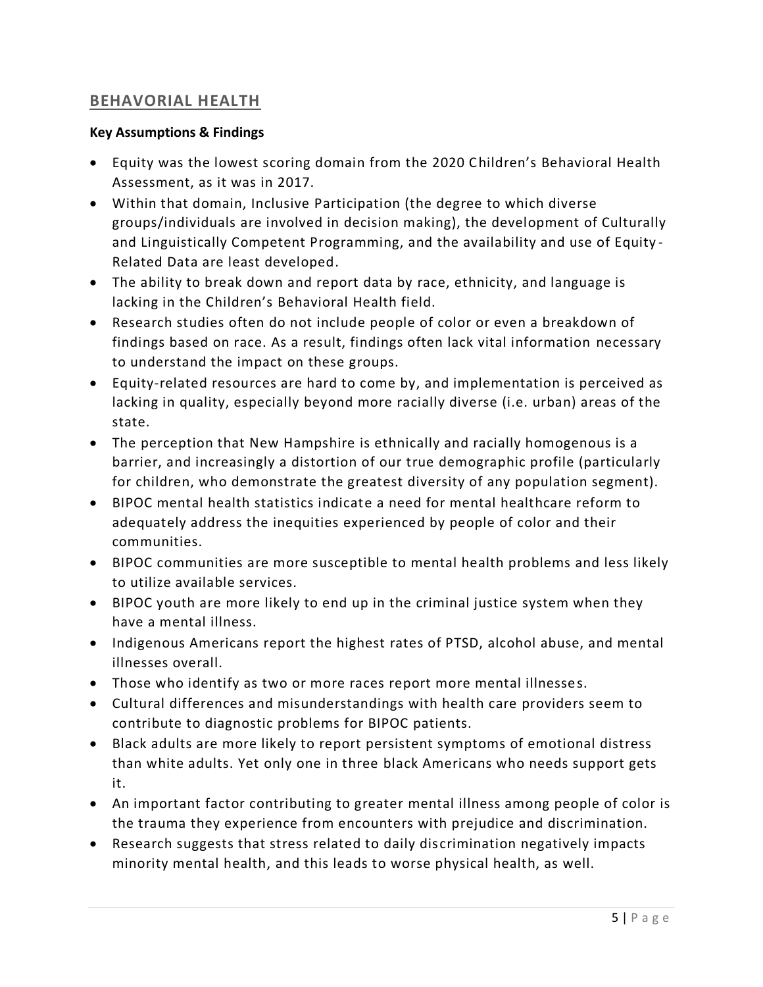## **BEHAVORIAL HEALTH**

- Equity was the lowest scoring domain from the 2020 Children's Behavioral Health Assessment, as it was in 2017.
- Within that domain, Inclusive Participation (the degree to which diverse groups/individuals are involved in decision making), the development of Culturally and Linguistically Competent Programming, and the availability and use of Equity - Related Data are least developed.
- The ability to break down and report data by race, ethnicity, and language is lacking in the Children's Behavioral Health field.
- Research studies often do not include people of color or even a breakdown of findings based on race. As a result, findings often lack vital information necessary to understand the impact on these groups.
- Equity-related resources are hard to come by, and implementation is perceived as lacking in quality, especially beyond more racially diverse (i.e. urban) areas of the state.
- The perception that New Hampshire is ethnically and racially homogenous is a barrier, and increasingly a distortion of our true demographic profile (particularly for children, who demonstrate the greatest diversity of any population segment).
- BIPOC mental health statistics indicate a need for mental healthcare reform to adequately address the inequities experienced by people of color and their communities.
- BIPOC communities are more susceptible to mental health problems and less likely to utilize available services.
- BIPOC youth are more likely to end up in the criminal justice system when they have a mental illness.
- Indigenous Americans report the highest rates of PTSD, alcohol abuse, and mental illnesses overall.
- Those who identify as two or more races report more mental illnesses.
- Cultural differences and misunderstandings with health care providers seem to contribute to diagnostic problems for BIPOC patients.
- Black adults are more likely to report persistent symptoms of emotional distress than white adults. Yet only one in three black Americans who needs support gets it.
- An important factor contributing to greater mental illness among people of color is the trauma they experience from encounters with prejudice and discrimination.
- Research suggests that stress related to daily discrimination negatively impacts minority mental health, and this leads to worse physical health, as well.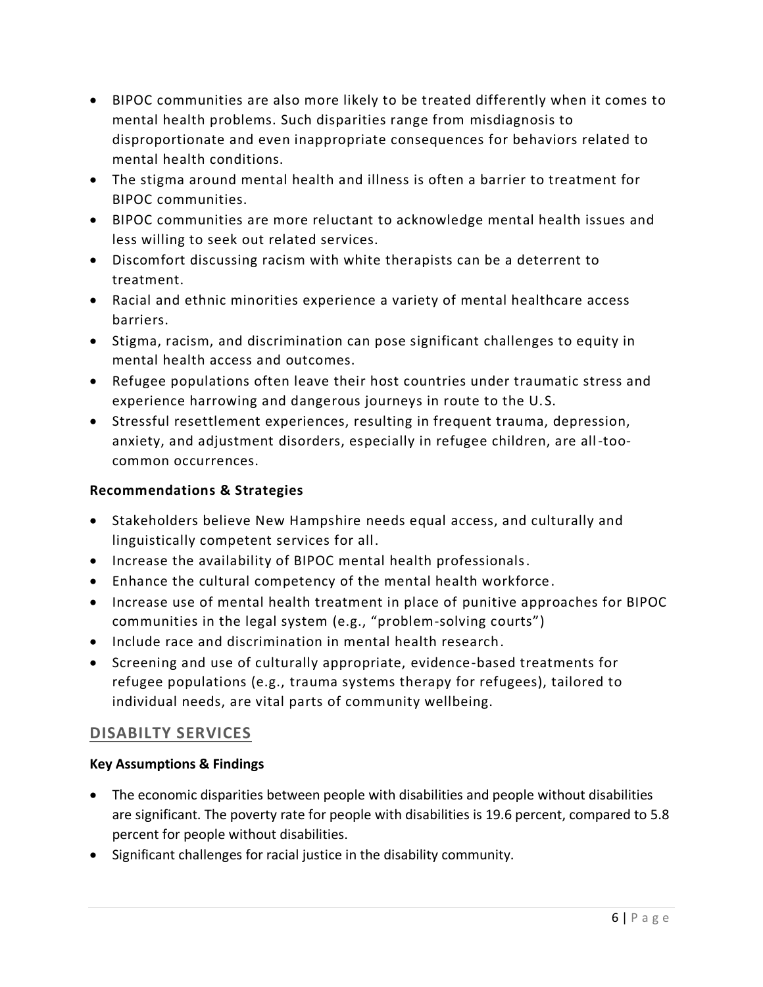- BIPOC communities are also more likely to be treated differently when it comes to mental health problems. Such disparities range from misdiagnosis to disproportionate and even inappropriate consequences for behaviors related to mental health conditions.
- The stigma around mental health and illness is often a barrier to treatment for BIPOC communities.
- BIPOC communities are more reluctant to acknowledge mental health issues and less willing to seek out related services.
- Discomfort discussing racism with white therapists can be a deterrent to treatment.
- Racial and ethnic minorities experience a variety of mental healthcare access barriers.
- Stigma, racism, and discrimination can pose significant challenges to equity in mental health access and outcomes.
- Refugee populations often leave their host countries under traumatic stress and experience harrowing and dangerous journeys in route to the U. S.
- Stressful resettlement experiences, resulting in frequent trauma, depression, anxiety, and adjustment disorders, especially in refugee children, are all-toocommon occurrences.

- Stakeholders believe New Hampshire needs equal access, and culturally and linguistically competent services for all.
- Increase the availability of BIPOC mental health professionals.
- Enhance the cultural competency of the mental health workforce.
- Increase use of mental health treatment in place of punitive approaches for BIPOC communities in the legal system (e.g., "problem-solving courts")
- Include race and discrimination in mental health research.
- Screening and use of culturally appropriate, evidence-based treatments for refugee populations (e.g., trauma systems therapy for refugees), tailored to individual needs, are vital parts of community wellbeing.

## **DISABILTY SERVICES**

- The economic disparities between people with disabilities and people without disabilities are significant. The poverty rate for people with disabilities is 19.6 percent, compared to 5.8 percent for people without disabilities.
- Significant challenges for racial justice in the disability community.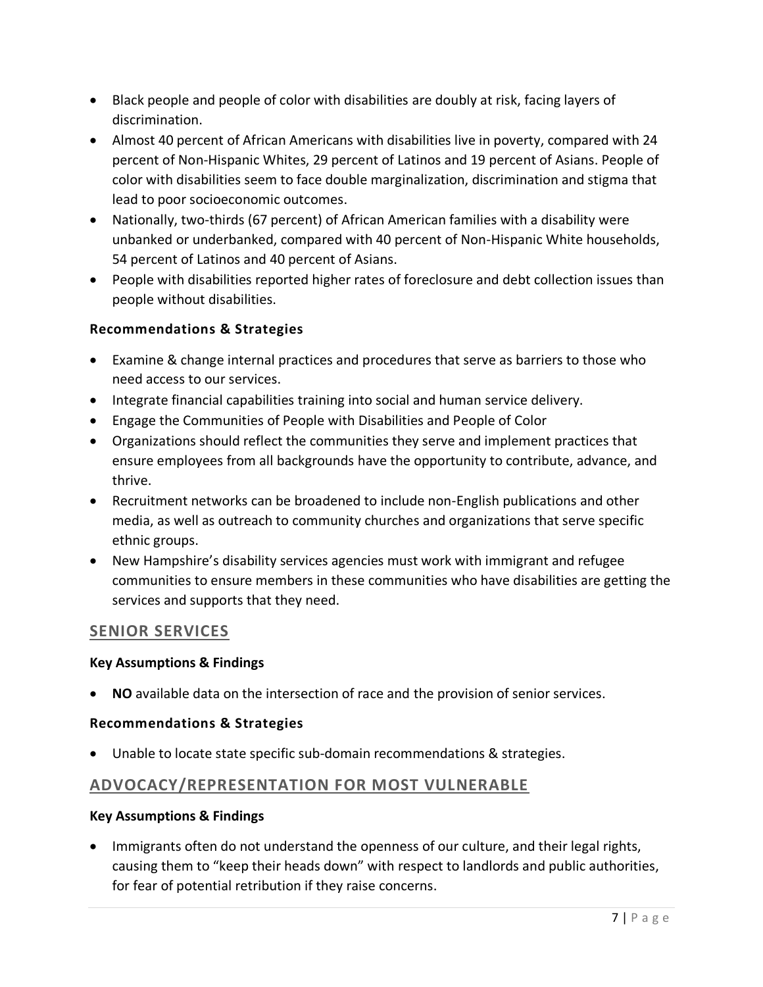- Black people and people of color with disabilities are doubly at risk, facing layers of discrimination.
- Almost 40 percent of African Americans with disabilities live in poverty, compared with 24 percent of Non-Hispanic Whites, 29 percent of Latinos and 19 percent of Asians. People of color with disabilities seem to face double marginalization, discrimination and stigma that lead to poor socioeconomic outcomes.
- Nationally, two-thirds (67 percent) of African American families with a disability were unbanked or underbanked, compared with 40 percent of Non-Hispanic White households, 54 percent of Latinos and 40 percent of Asians.
- People with disabilities reported higher rates of foreclosure and debt collection issues than people without disabilities.

- Examine & change internal practices and procedures that serve as barriers to those who need access to our services.
- Integrate financial capabilities training into social and human service delivery.
- Engage the Communities of People with Disabilities and People of Color
- Organizations should reflect the communities they serve and implement practices that ensure employees from all backgrounds have the opportunity to contribute, advance, and thrive.
- Recruitment networks can be broadened to include non-English publications and other media, as well as outreach to community churches and organizations that serve specific ethnic groups.
- New Hampshire's disability services agencies must work with immigrant and refugee communities to ensure members in these communities who have disabilities are getting the services and supports that they need.

## **SENIOR SERVICES**

#### **Key Assumptions & Findings**

• **NO** available data on the intersection of race and the provision of senior services.

#### **Recommendations & Strategies**

• Unable to locate state specific sub-domain recommendations & strategies.

## **ADVOCACY/REPRESENTATION FOR MOST VULNERABLE**

#### **Key Assumptions & Findings**

• Immigrants often do not understand the openness of our culture, and their legal rights, causing them to "keep their heads down" with respect to landlords and public authorities, for fear of potential retribution if they raise concerns.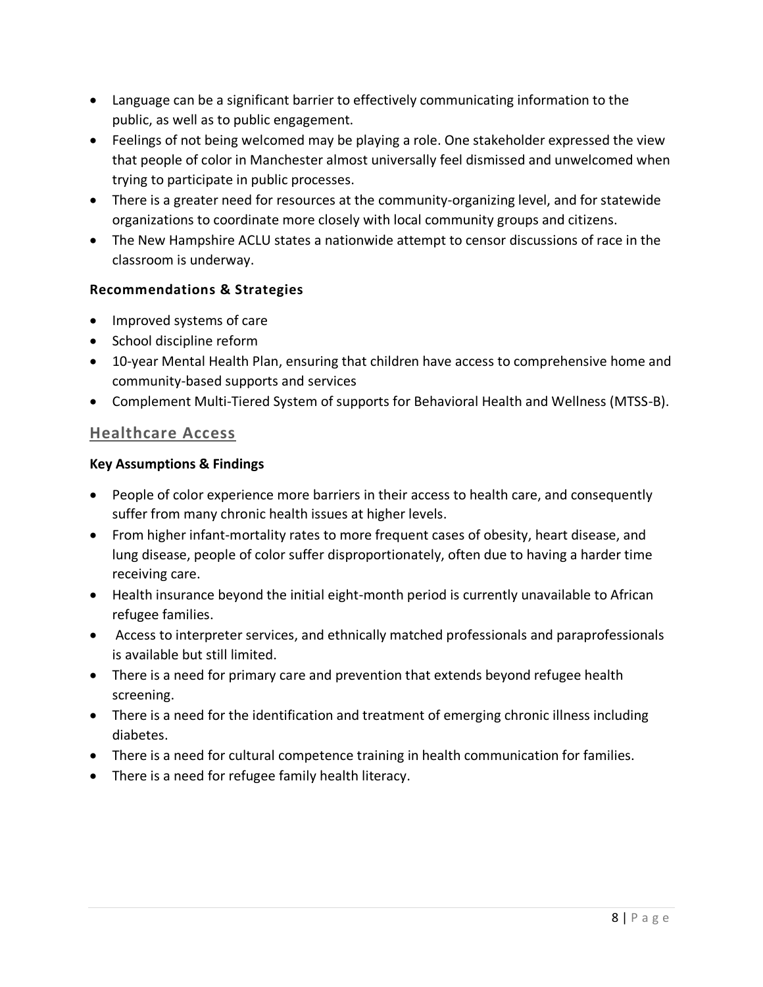- Language can be a significant barrier to effectively communicating information to the public, as well as to public engagement.
- Feelings of not being welcomed may be playing a role. One stakeholder expressed the view that people of color in Manchester almost universally feel dismissed and unwelcomed when trying to participate in public processes.
- There is a greater need for resources at the community-organizing level, and for statewide organizations to coordinate more closely with local community groups and citizens.
- The New Hampshire ACLU states a nationwide attempt to censor discussions of race in the classroom is underway.

- Improved systems of care
- School discipline reform
- 10-year Mental Health Plan, ensuring that children have access to comprehensive home and community-based supports and services
- Complement Multi-Tiered System of supports for Behavioral Health and Wellness (MTSS-B).

#### **Healthcare Access**

- People of color experience more barriers in their access to health care, and consequently suffer from many chronic health issues at higher levels.
- From higher infant-mortality rates to more frequent cases of obesity, heart disease, and lung disease, people of color suffer disproportionately, often due to having a harder time receiving care.
- Health insurance beyond the initial eight-month period is currently unavailable to African refugee families.
- Access to interpreter services, and ethnically matched professionals and paraprofessionals is available but still limited.
- There is a need for primary care and prevention that extends beyond refugee health screening.
- There is a need for the identification and treatment of emerging chronic illness including diabetes.
- There is a need for cultural competence training in health communication for families.
- There is a need for refugee family health literacy.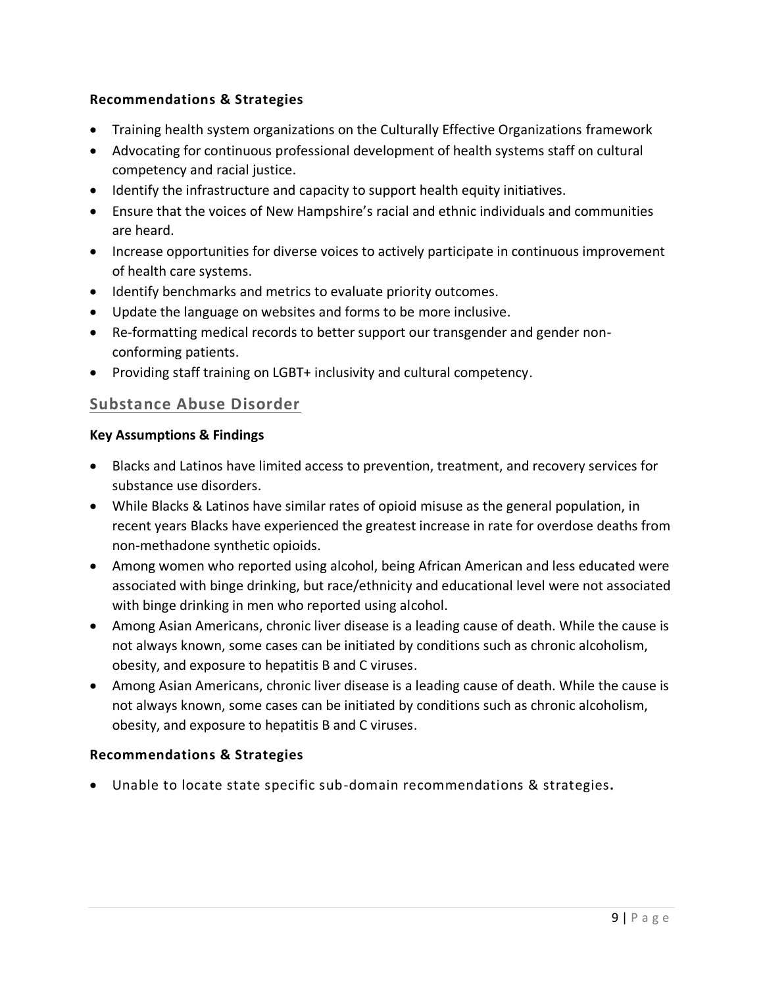- Training health system organizations on the Culturally Effective Organizations framework
- Advocating for continuous professional development of health systems staff on cultural competency and racial justice.
- Identify the infrastructure and capacity to support health equity initiatives.
- Ensure that the voices of New Hampshire's racial and ethnic individuals and communities are heard.
- Increase opportunities for diverse voices to actively participate in continuous improvement of health care systems.
- Identify benchmarks and metrics to evaluate priority outcomes.
- Update the language on websites and forms to be more inclusive.
- Re-formatting medical records to better support our transgender and gender nonconforming patients.
- Providing staff training on LGBT+ inclusivity and cultural competency.

## **Substance Abuse Disorder**

#### **Key Assumptions & Findings**

- Blacks and Latinos have limited access to prevention, treatment, and recovery services for substance use disorders.
- While Blacks & Latinos have similar rates of opioid misuse as the general population, in recent years Blacks have experienced the greatest increase in rate for overdose deaths from non-methadone synthetic opioids.
- Among women who reported using alcohol, being African American and less educated were associated with binge drinking, but race/ethnicity and educational level were not associated with binge drinking in men who reported using alcohol.
- Among Asian Americans, chronic liver disease is a leading cause of death. While the cause is not always known, some cases can be initiated by conditions such as chronic alcoholism, obesity, and exposure to hepatitis B and C viruses.
- Among Asian Americans, chronic liver disease is a leading cause of death. While the cause is not always known, some cases can be initiated by conditions such as chronic alcoholism, obesity, and exposure to hepatitis B and C viruses.

#### **Recommendations & Strategies**

• Unable to locate state specific sub-domain recommendations & strategies**.**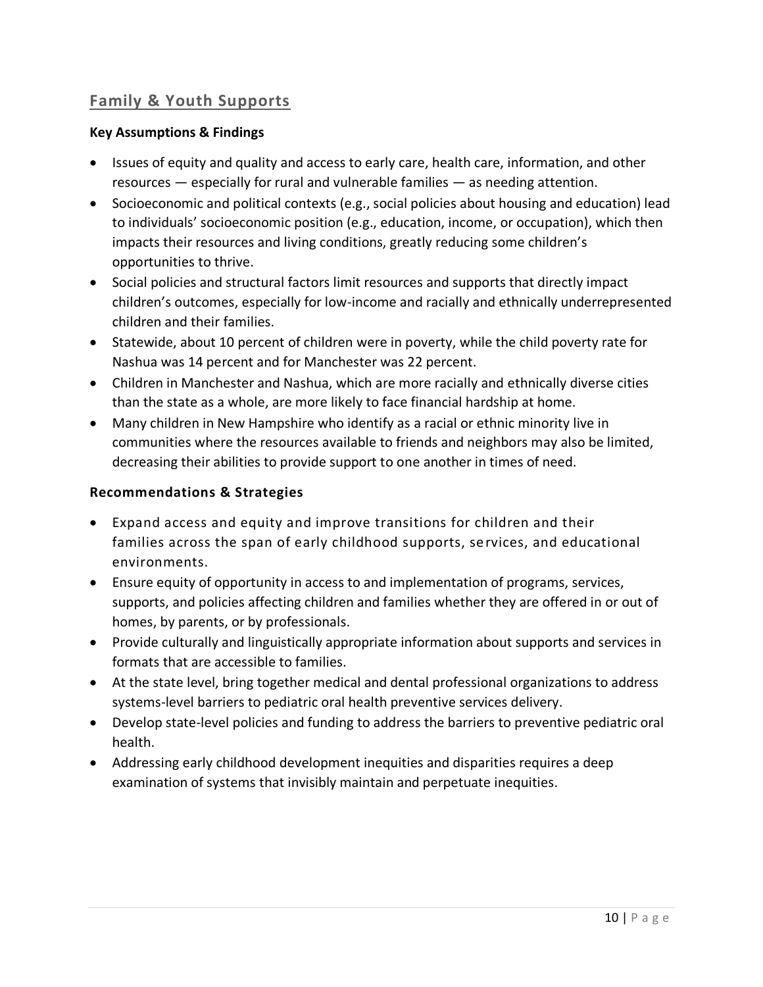## **Family & Youth Supports**

#### **Key Assumptions & Findings**

- Issues of equity and quality and access to early care, health care, information, and other resources — especially for rural and vulnerable families — as needing attention.
- Socioeconomic and political contexts (e.g., social policies about housing and education) lead to individuals' socioeconomic position (e.g., education, income, or occupation), which then impacts their resources and living conditions, greatly reducing some children's opportunities to thrive.
- Social policies and structural factors limit resources and supports that directly impact children's outcomes, especially for low-income and racially and ethnically underrepresented children and their families.
- Statewide, about 10 percent of children were in poverty, while the child poverty rate for Nashua was 14 percent and for Manchester was 22 percent.
- Children in Manchester and Nashua, which are more racially and ethnically diverse cities than the state as a whole, are more likely to face financial hardship at home.
- Many children in New Hampshire who identify as a racial or ethnic minority live in communities where the resources available to friends and neighbors may also be limited, decreasing their abilities to provide support to one another in times of need.

- Expand access and equity and improve transitions for children and their families across the span of early childhood supports, services, and educational environments.
- Ensure equity of opportunity in access to and implementation of programs, services, supports, and policies affecting children and families whether they are offered in or out of homes, by parents, or by professionals.
- Provide culturally and linguistically appropriate information about supports and services in formats that are accessible to families.
- At the state level, bring together medical and dental professional organizations to address systems-level barriers to pediatric oral health preventive services delivery.
- Develop state-level policies and funding to address the barriers to preventive pediatric oral health.
- Addressing early childhood development inequities and disparities requires a deep examination of systems that invisibly maintain and perpetuate inequities.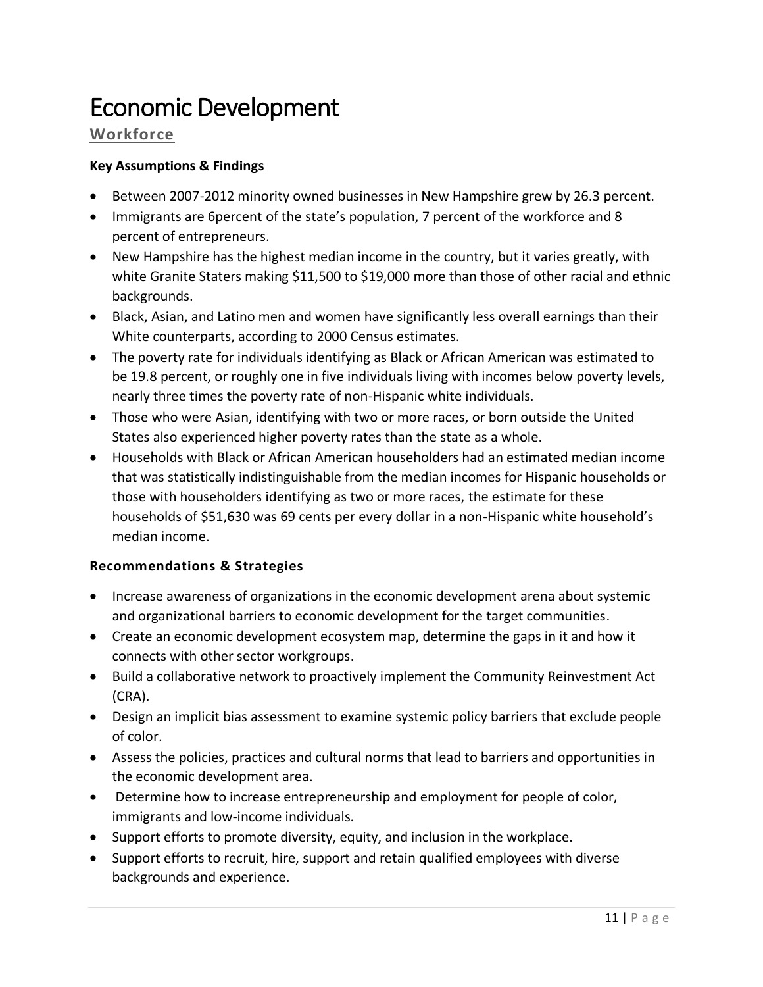## <span id="page-10-0"></span>Economic Development

## **Workforce**

#### **Key Assumptions & Findings**

- Between 2007-2012 minority owned businesses in New Hampshire grew by 26.3 percent.
- Immigrants are 6percent of the state's population, 7 percent of the workforce and 8 percent of entrepreneurs.
- New Hampshire has the highest median income in the country, but it varies greatly, with white Granite Staters making \$11,500 to \$19,000 more than those of other racial and ethnic backgrounds.
- Black, Asian, and Latino men and women have significantly less overall earnings than their White counterparts, according to 2000 Census estimates.
- The poverty rate for individuals identifying as Black or African American was estimated to be 19.8 percent, or roughly one in five individuals living with incomes below poverty levels, nearly three times the poverty rate of non-Hispanic white individuals.
- Those who were Asian, identifying with two or more races, or born outside the United States also experienced higher poverty rates than the state as a whole.
- Households with Black or African American householders had an estimated median income that was statistically indistinguishable from the median incomes for Hispanic households or those with householders identifying as two or more races, the estimate for these households of \$51,630 was 69 cents per every dollar in a non-Hispanic white household's median income.

- Increase awareness of organizations in the economic development arena about systemic and organizational barriers to economic development for the target communities.
- Create an economic development ecosystem map, determine the gaps in it and how it connects with other sector workgroups.
- Build a collaborative network to proactively implement the Community Reinvestment Act (CRA).
- Design an implicit bias assessment to examine systemic policy barriers that exclude people of color.
- Assess the policies, practices and cultural norms that lead to barriers and opportunities in the economic development area.
- Determine how to increase entrepreneurship and employment for people of color, immigrants and low-income individuals.
- Support efforts to promote diversity, equity, and inclusion in the workplace.
- Support efforts to recruit, hire, support and retain qualified employees with diverse backgrounds and experience.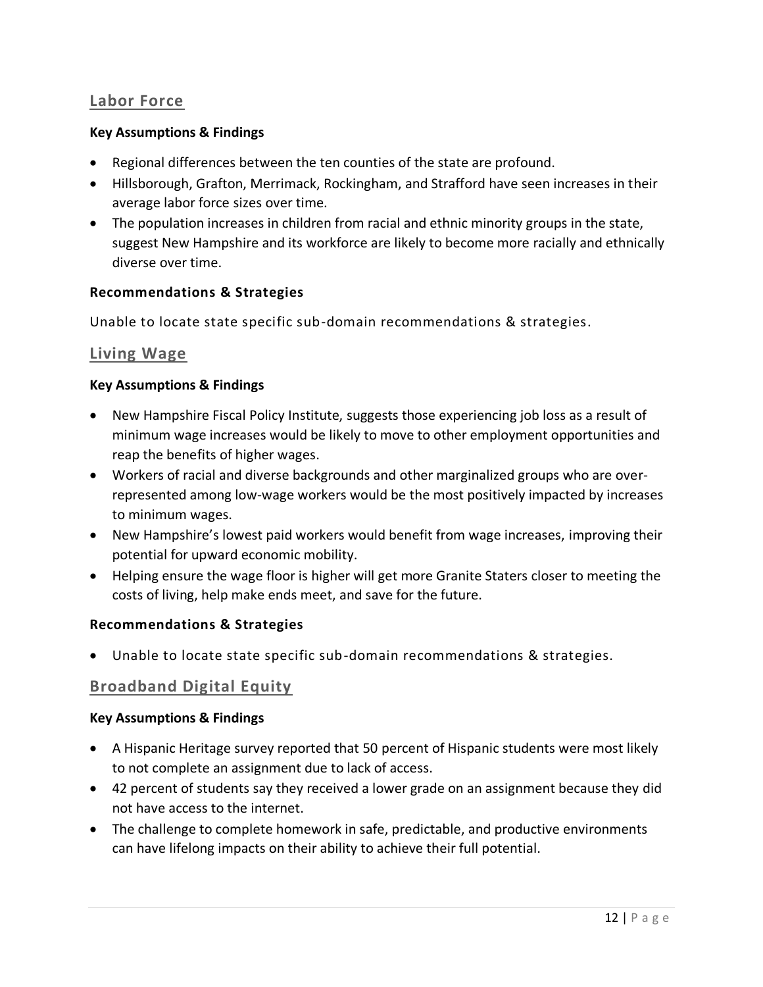## **Labor Force**

#### **Key Assumptions & Findings**

- Regional differences between the ten counties of the state are profound.
- Hillsborough, Grafton, Merrimack, Rockingham, and Strafford have seen increases in their average labor force sizes over time.
- The population increases in children from racial and ethnic minority groups in the state, suggest New Hampshire and its workforce are likely to become more racially and ethnically diverse over time.

#### **Recommendations & Strategies**

Unable to locate state specific sub-domain recommendations & strategies.

#### **Living Wage**

#### **Key Assumptions & Findings**

- New Hampshire Fiscal Policy Institute, suggests those experiencing job loss as a result of minimum wage increases would be likely to move to other employment opportunities and reap the benefits of higher wages.
- Workers of racial and diverse backgrounds and other marginalized groups who are overrepresented among low-wage workers would be the most positively impacted by increases to minimum wages.
- New Hampshire's lowest paid workers would benefit from wage increases, improving their potential for upward economic mobility.
- Helping ensure the wage floor is higher will get more Granite Staters closer to meeting the costs of living, help make ends meet, and save for the future.

#### **Recommendations & Strategies**

• Unable to locate state specific sub-domain recommendations & strategies.

#### **Broadband Digital Equity**

- A Hispanic Heritage survey reported that 50 percent of Hispanic students were most likely to not complete an assignment due to lack of access.
- 42 percent of students say they received a lower grade on an assignment because they did not have access to the internet.
- The challenge to complete homework in safe, predictable, and productive environments can have lifelong impacts on their ability to achieve their full potential.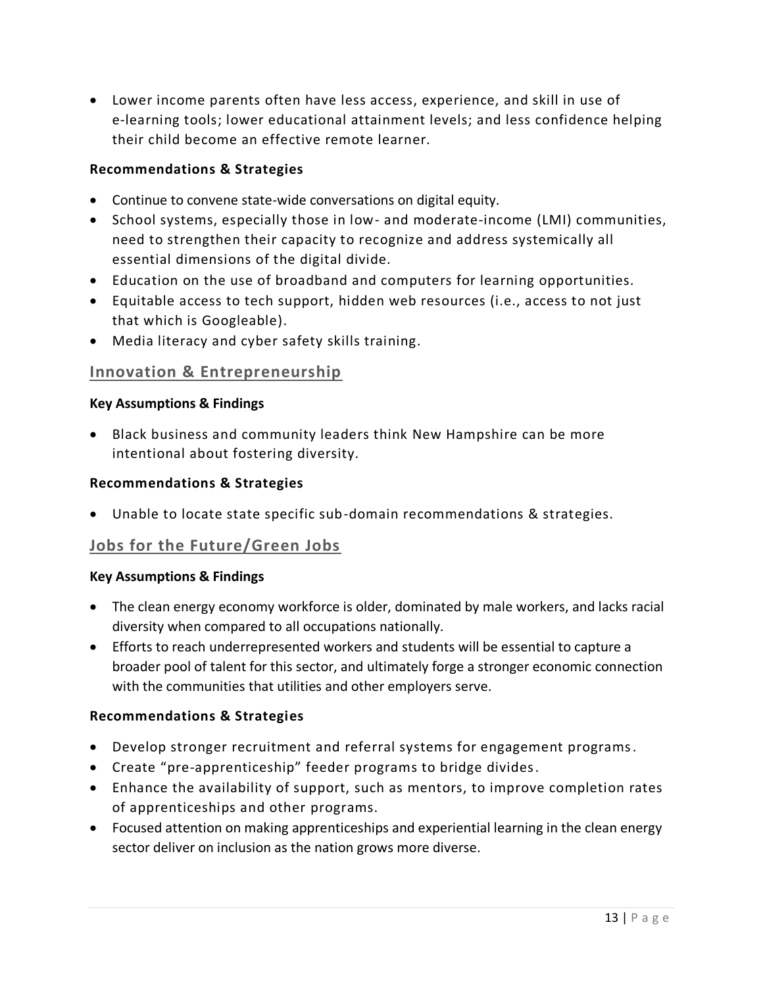• Lower income parents often have less access, experience, and skill in use of e-learning tools; lower educational attainment levels; and less confidence helping their child become an effective remote learner.

#### **Recommendations & Strategies**

- Continue to convene state-wide conversations on digital equity.
- School systems, especially those in low- and moderate-income (LMI) communities, need to strengthen their capacity to recognize and address systemically all essential dimensions of the digital divide.
- Education on the use of broadband and computers for learning opportunities.
- Equitable access to tech support, hidden web resources (i.e., access to not just that which is Googleable).
- Media literacy and cyber safety skills training.

#### **Innovation & Entrepreneurship**

#### **Key Assumptions & Findings**

• Black business and community leaders think New Hampshire can be more intentional about fostering diversity.

#### **Recommendations & Strategies**

• Unable to locate state specific sub-domain recommendations & strategies.

## **Jobs for the Future/Green Jobs**

#### **Key Assumptions & Findings**

- The clean energy economy workforce is older, dominated by male workers, and lacks racial diversity when compared to all occupations nationally.
- Efforts to reach underrepresented workers and students will be essential to capture a broader pool of talent for this sector, and ultimately forge a stronger economic connection with the communities that utilities and other employers serve.

- Develop stronger recruitment and referral systems for engagement programs.
- Create "pre-apprenticeship" feeder programs to bridge divides.
- Enhance the availability of support, such as mentors, to improve completion rates of apprenticeships and other programs.
- Focused attention on making apprenticeships and experiential learning in the clean energy sector deliver on inclusion as the nation grows more diverse.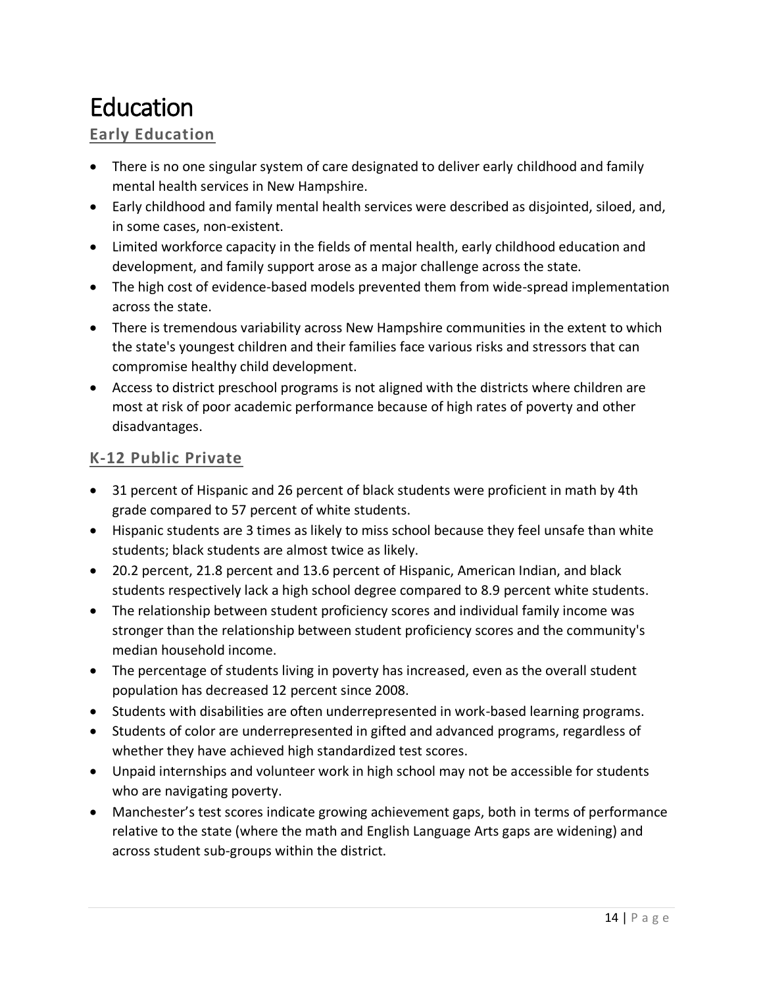## <span id="page-13-0"></span>Education

## **Early Education**

- There is no one singular system of care designated to deliver early childhood and family mental health services in New Hampshire.
- Early childhood and family mental health services were described as disjointed, siloed, and, in some cases, non-existent.
- Limited workforce capacity in the fields of mental health, early childhood education and development, and family support arose as a major challenge across the state.
- The high cost of evidence-based models prevented them from wide-spread implementation across the state.
- There is tremendous variability across New Hampshire communities in the extent to which the state's youngest children and their families face various risks and stressors that can compromise healthy child development.
- Access to district preschool programs is not aligned with the districts where children are most at risk of poor academic performance because of high rates of poverty and other disadvantages.

## **K-12 Public Private**

- 31 percent of Hispanic and 26 percent of black students were proficient in math by 4th grade compared to 57 percent of white students.
- Hispanic students are 3 times as likely to miss school because they feel unsafe than white students; black students are almost twice as likely.
- 20.2 percent, 21.8 percent and 13.6 percent of Hispanic, American Indian, and black students respectively lack a high school degree compared to 8.9 percent white students.
- The relationship between student proficiency scores and individual family income was stronger than the relationship between student proficiency scores and the community's median household income.
- The percentage of students living in poverty has increased, even as the overall student population has decreased 12 percent since 2008.
- Students with disabilities are often underrepresented in work-based learning programs.
- Students of color are underrepresented in gifted and advanced programs, regardless of whether they have achieved high standardized test scores.
- Unpaid internships and volunteer work in high school may not be accessible for students who are navigating poverty.
- Manchester's test scores indicate growing achievement gaps, both in terms of performance relative to the state (where the math and English Language Arts gaps are widening) and across student sub-groups within the district.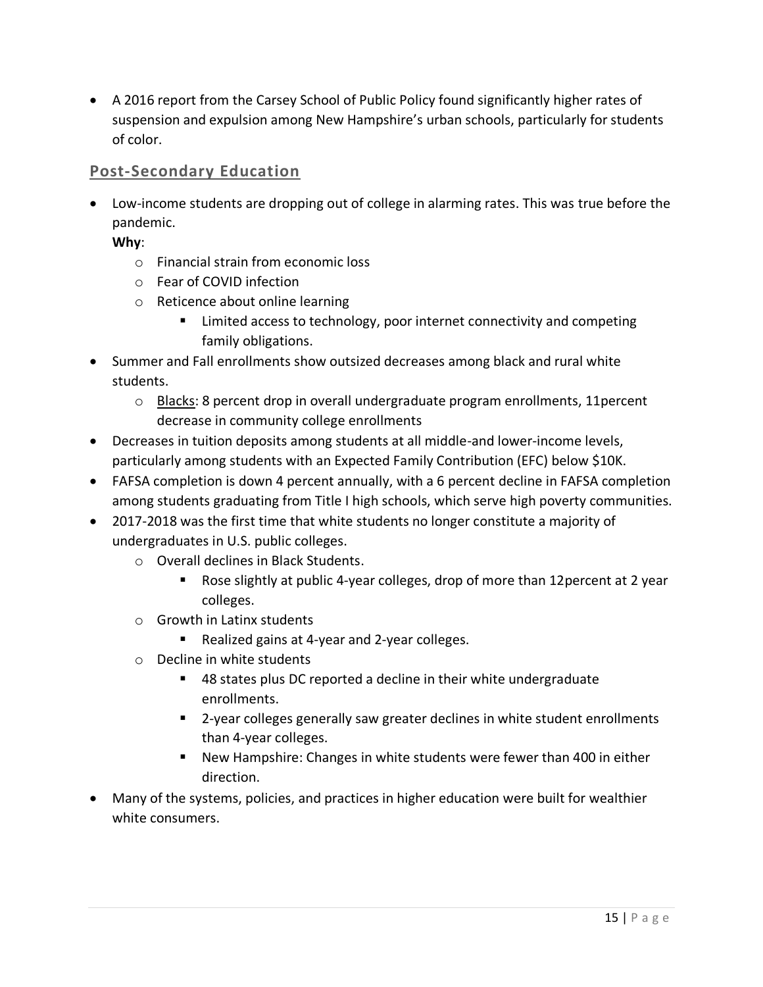• A 2016 report from the Carsey School of Public Policy found significantly higher rates of suspension and expulsion among New Hampshire's urban schools, particularly for students of color.

## **Post-Secondary Education**

• Low-income students are dropping out of college in alarming rates. This was true before the pandemic.

**Why**:

- o Financial strain from economic loss
- o Fear of COVID infection
- o Reticence about online learning
	- Limited access to technology, poor internet connectivity and competing family obligations.
- Summer and Fall enrollments show outsized decreases among black and rural white students.
	- $\circ$  Blacks: 8 percent drop in overall undergraduate program enrollments, 11 percent decrease in community college enrollments
- Decreases in tuition deposits among students at all middle-and lower-income levels, particularly among students with an Expected Family Contribution (EFC) below \$10K.
- FAFSA completion is down 4 percent annually, with a 6 percent decline in FAFSA completion among students graduating from Title I high schools, which serve high poverty communities.
- 2017-2018 was the first time that white students no longer constitute a majority of undergraduates in U.S. public colleges.
	- o Overall declines in Black Students.
		- Rose slightly at public 4-year colleges, drop of more than 12 percent at 2 year colleges.
	- o Growth in Latinx students
		- Realized gains at 4-year and 2-year colleges.
	- o Decline in white students
		- 48 states plus DC reported a decline in their white undergraduate enrollments.
		- 2-year colleges generally saw greater declines in white student enrollments than 4-year colleges.
		- New Hampshire: Changes in white students were fewer than 400 in either direction.
- Many of the systems, policies, and practices in higher education were built for wealthier white consumers.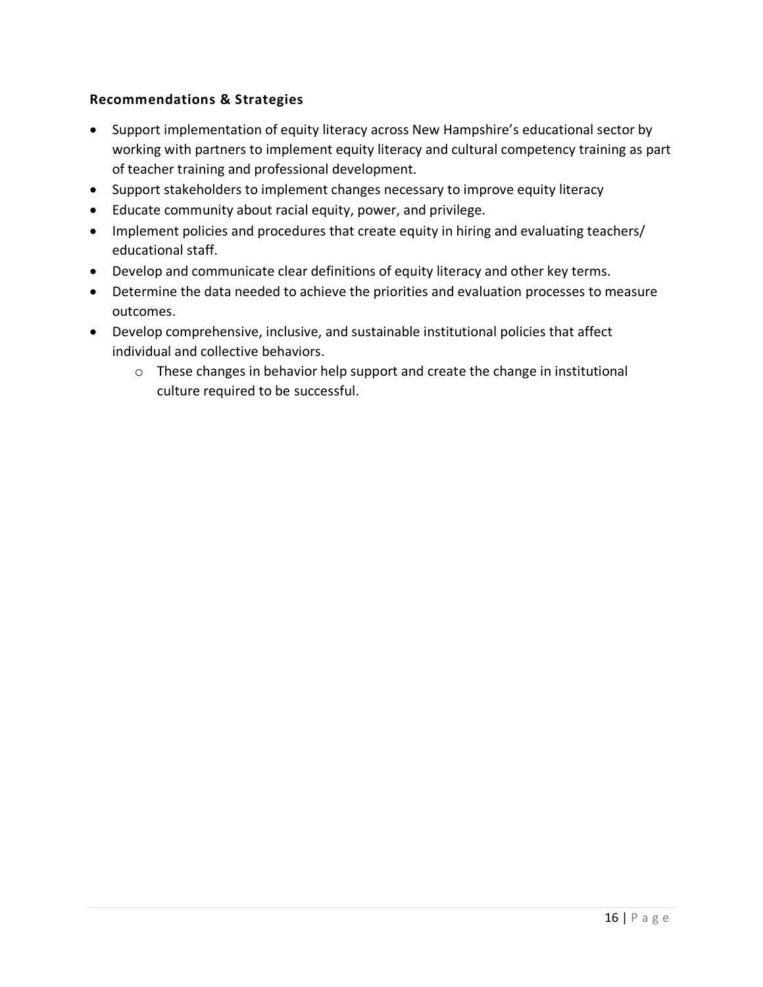- Support implementation of equity literacy across New Hampshire's educational sector by working with partners to implement equity literacy and cultural competency training as part of teacher training and professional development.
- Support stakeholders to implement changes necessary to improve equity literacy
- Educate community about racial equity, power, and privilege.
- Implement policies and procedures that create equity in hiring and evaluating teachers/ educational staff.
- Develop and communicate clear definitions of equity literacy and other key terms.
- Determine the data needed to achieve the priorities and evaluation processes to measure outcomes.
- Develop comprehensive, inclusive, and sustainable institutional policies that affect individual and collective behaviors.
	- o These changes in behavior help support and create the change in institutional culture required to be successful.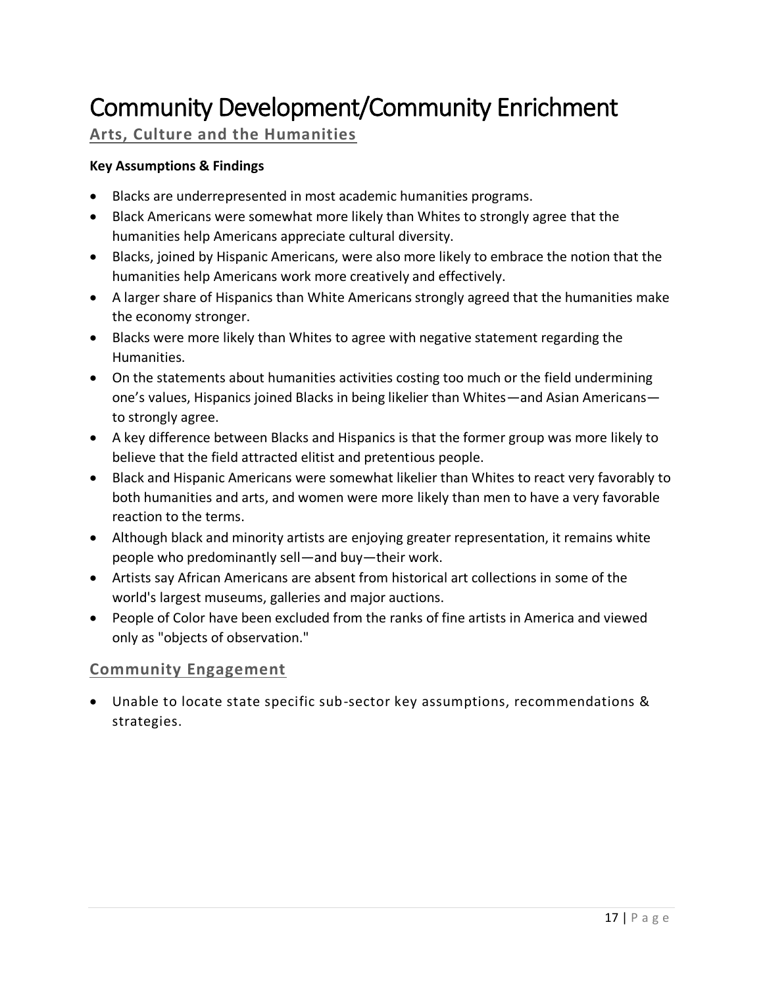## <span id="page-16-0"></span>Community Development/Community Enrichment

## **Arts, Culture and the Humanities**

#### **Key Assumptions & Findings**

- Blacks are underrepresented in most academic humanities programs.
- Black Americans were somewhat more likely than Whites to strongly agree that the humanities help Americans appreciate cultural diversity.
- Blacks, joined by Hispanic Americans, were also more likely to embrace the notion that the humanities help Americans work more creatively and effectively.
- A larger share of Hispanics than White Americans strongly agreed that the humanities make the economy stronger.
- Blacks were more likely than Whites to agree with negative statement regarding the Humanities.
- On the statements about humanities activities costing too much or the field undermining one's values, Hispanics joined Blacks in being likelier than Whites—and Asian Americans to strongly agree.
- A key difference between Blacks and Hispanics is that the former group was more likely to believe that the field attracted elitist and pretentious people.
- Black and Hispanic Americans were somewhat likelier than Whites to react very favorably to both humanities and arts, and women were more likely than men to have a very favorable reaction to the terms.
- Although black and minority artists are enjoying greater representation, it remains white people who predominantly sell—and buy—their work.
- Artists say African Americans are absent from historical art collections in some of the world's largest museums, galleries and major auctions.
- People of Color have been excluded from the ranks of fine artists in America and viewed only as "objects of observation."

## **Community Engagement**

• Unable to locate state specific sub-sector key assumptions, recommendations & strategies.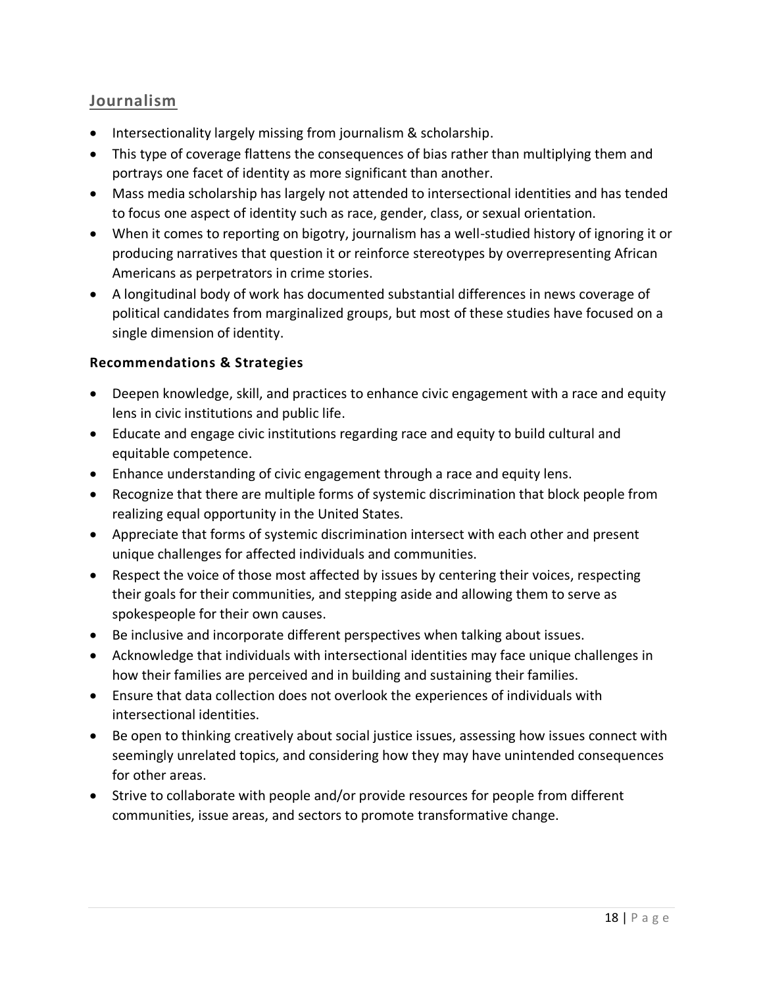## **Journalism**

- Intersectionality largely missing from journalism & scholarship.
- This type of coverage flattens the consequences of bias rather than multiplying them and portrays one facet of identity as more significant than another.
- Mass media scholarship has largely not attended to intersectional identities and has tended to focus one aspect of identity such as race, gender, class, or sexual orientation.
- When it comes to reporting on bigotry, journalism has a well-studied history of ignoring it or producing narratives that question it or reinforce stereotypes by overrepresenting African Americans as perpetrators in crime stories.
- A longitudinal body of work has documented substantial differences in news coverage of political candidates from marginalized groups, but most of these studies have focused on a single dimension of identity.

- Deepen knowledge, skill, and practices to enhance civic engagement with a race and equity lens in civic institutions and public life.
- Educate and engage civic institutions regarding race and equity to build cultural and equitable competence.
- Enhance understanding of civic engagement through a race and equity lens.
- Recognize that there are multiple forms of systemic discrimination that block people from realizing equal opportunity in the United States.
- Appreciate that forms of systemic discrimination intersect with each other and present unique challenges for affected individuals and communities.
- Respect the voice of those most affected by issues by centering their voices, respecting their goals for their communities, and stepping aside and allowing them to serve as spokespeople for their own causes.
- Be inclusive and incorporate different perspectives when talking about issues.
- Acknowledge that individuals with intersectional identities may face unique challenges in how their families are perceived and in building and sustaining their families.
- Ensure that data collection does not overlook the experiences of individuals with intersectional identities.
- Be open to thinking creatively about social justice issues, assessing how issues connect with seemingly unrelated topics, and considering how they may have unintended consequences for other areas.
- Strive to collaborate with people and/or provide resources for people from different communities, issue areas, and sectors to promote transformative change.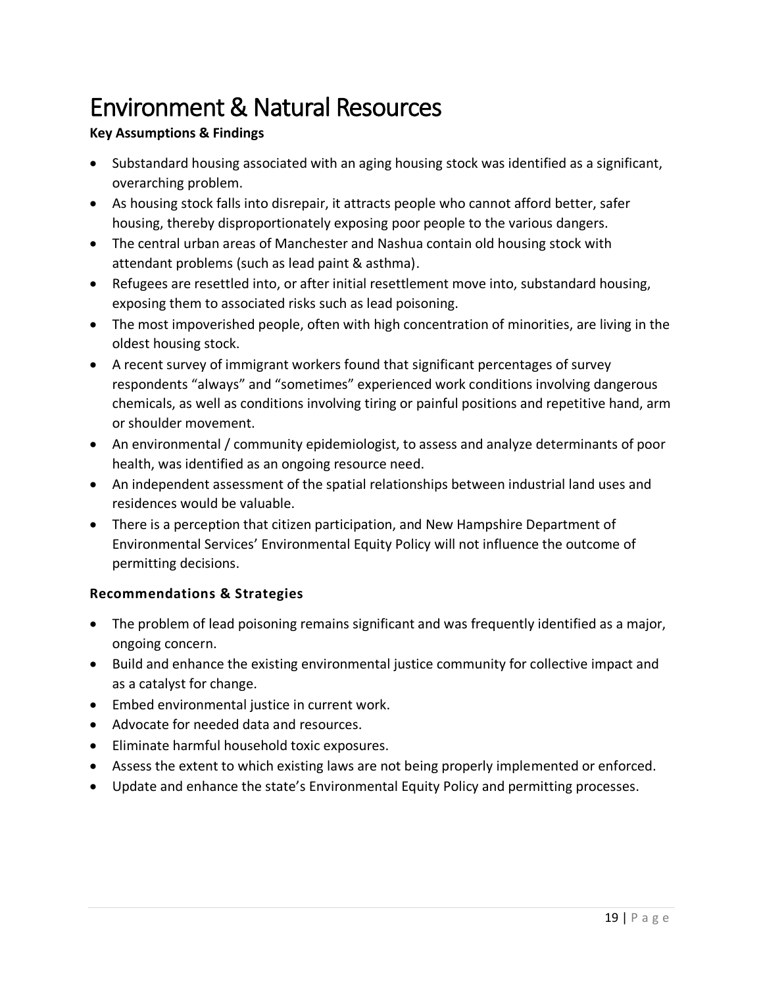## <span id="page-18-0"></span>Environment & Natural Resources

### **Key Assumptions & Findings**

- Substandard housing associated with an aging housing stock was identified as a significant, overarching problem.
- As housing stock falls into disrepair, it attracts people who cannot afford better, safer housing, thereby disproportionately exposing poor people to the various dangers.
- The central urban areas of Manchester and Nashua contain old housing stock with attendant problems (such as lead paint & asthma).
- Refugees are resettled into, or after initial resettlement move into, substandard housing, exposing them to associated risks such as lead poisoning.
- The most impoverished people, often with high concentration of minorities, are living in the oldest housing stock.
- A recent survey of immigrant workers found that significant percentages of survey respondents "always" and "sometimes" experienced work conditions involving dangerous chemicals, as well as conditions involving tiring or painful positions and repetitive hand, arm or shoulder movement.
- An environmental / community epidemiologist, to assess and analyze determinants of poor health, was identified as an ongoing resource need.
- An independent assessment of the spatial relationships between industrial land uses and residences would be valuable.
- There is a perception that citizen participation, and New Hampshire Department of Environmental Services' Environmental Equity Policy will not influence the outcome of permitting decisions.

- The problem of lead poisoning remains significant and was frequently identified as a major, ongoing concern.
- Build and enhance the existing environmental justice community for collective impact and as a catalyst for change.
- Embed environmental justice in current work.
- Advocate for needed data and resources.
- Eliminate harmful household toxic exposures.
- Assess the extent to which existing laws are not being properly implemented or enforced.
- Update and enhance the state's Environmental Equity Policy and permitting processes.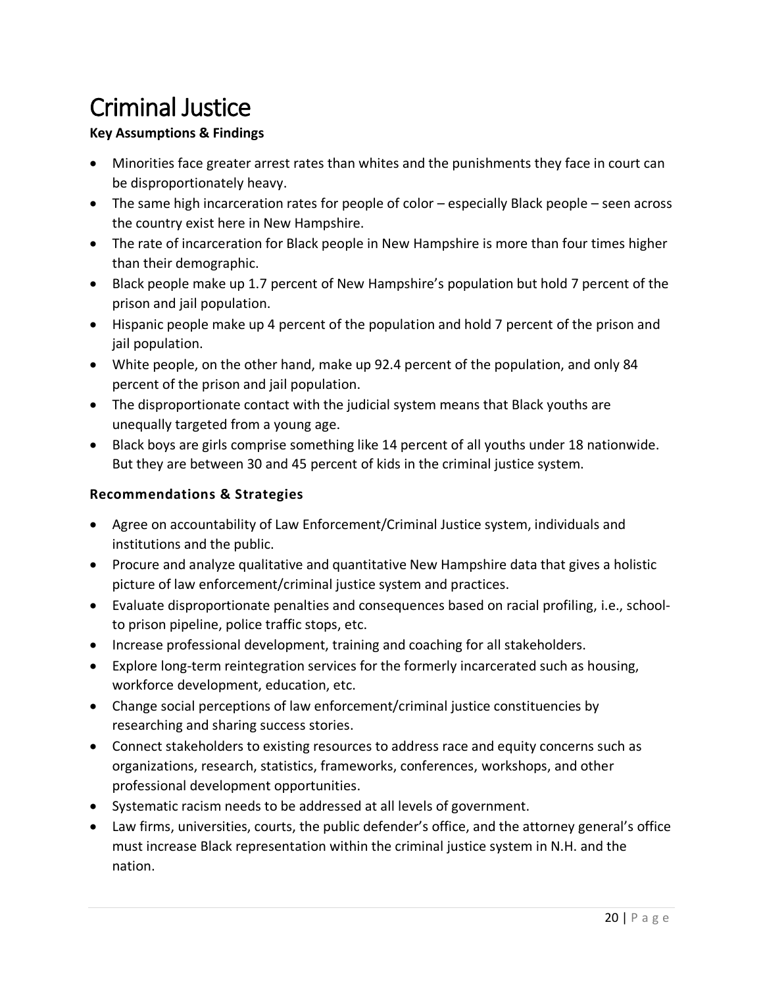## <span id="page-19-0"></span>Criminal Justice

## **Key Assumptions & Findings**

- Minorities face greater arrest rates than whites and the punishments they face in court can be disproportionately heavy.
- The same high incarceration rates for people of color especially Black people seen across the country exist here in New Hampshire.
- The rate of incarceration for Black people in New Hampshire is more than four times higher than their demographic.
- Black people make up 1.7 percent of New Hampshire's population but hold 7 percent of the prison and jail population.
- Hispanic people make up 4 percent of the population and hold 7 percent of the prison and jail population.
- White people, on the other hand, make up 92.4 percent of the population, and only 84 percent of the prison and jail population.
- The disproportionate contact with the judicial system means that Black youths are unequally targeted from a young age.
- Black boys are girls comprise something like 14 percent of all youths under 18 nationwide. But they are between 30 and 45 percent of kids in the criminal justice system.

- Agree on accountability of Law Enforcement/Criminal Justice system, individuals and institutions and the public.
- Procure and analyze qualitative and quantitative New Hampshire data that gives a holistic picture of law enforcement/criminal justice system and practices.
- Evaluate disproportionate penalties and consequences based on racial profiling, i.e., schoolto prison pipeline, police traffic stops, etc.
- Increase professional development, training and coaching for all stakeholders.
- Explore long-term reintegration services for the formerly incarcerated such as housing, workforce development, education, etc.
- Change social perceptions of law enforcement/criminal justice constituencies by researching and sharing success stories.
- Connect stakeholders to existing resources to address race and equity concerns such as organizations, research, statistics, frameworks, conferences, workshops, and other professional development opportunities.
- Systematic racism needs to be addressed at all levels of government.
- Law firms, universities, courts, the public defender's office, and the attorney general's office must increase Black representation within the criminal justice system in N.H. and the nation.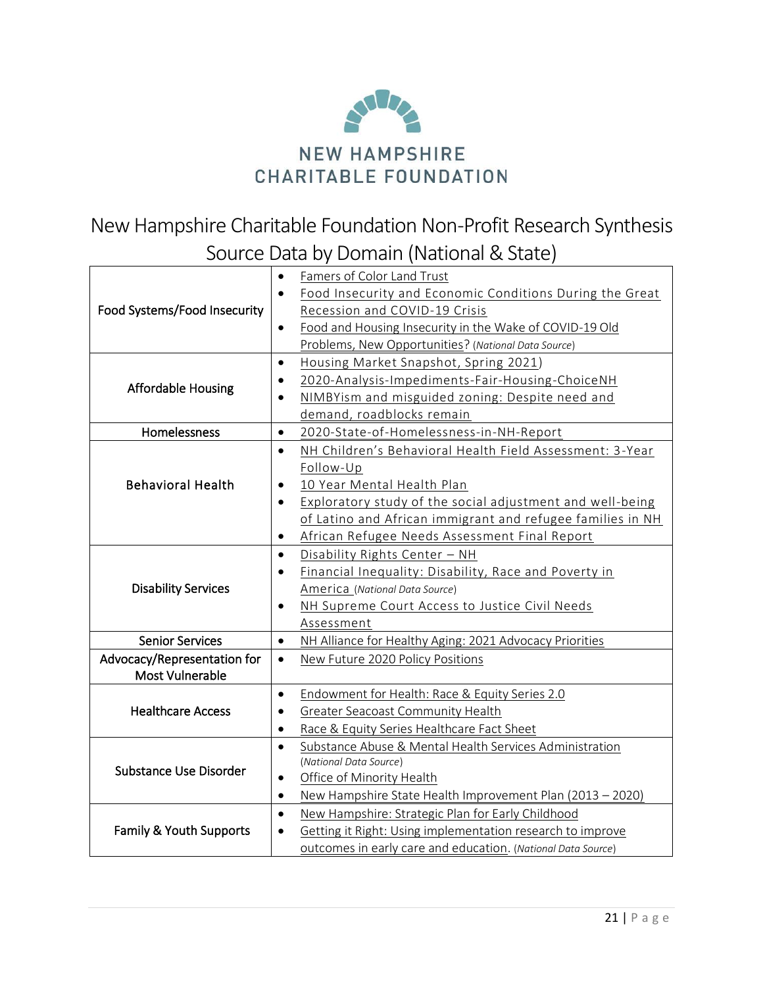

New Hampshire Charitable Foundation Non-Profit Research Synthesis Source Data by Domain (National & State)

|                              | $\bullet$ | Famers of Color Land Trust                                   |
|------------------------------|-----------|--------------------------------------------------------------|
| Food Systems/Food Insecurity | $\bullet$ | Food Insecurity and Economic Conditions During the Great     |
|                              |           | Recession and COVID-19 Crisis                                |
|                              | $\bullet$ | Food and Housing Insecurity in the Wake of COVID-19 Old      |
|                              |           | Problems, New Opportunities? (National Data Source)          |
| <b>Affordable Housing</b>    | $\bullet$ | Housing Market Snapshot, Spring 2021)                        |
|                              |           | 2020-Analysis-Impediments-Fair-Housing-ChoiceNH              |
|                              | $\bullet$ | NIMBYism and misguided zoning: Despite need and              |
|                              |           | demand, roadblocks remain                                    |
| Homelessness                 | $\bullet$ | 2020-State-of-Homelessness-in-NH-Report                      |
| <b>Behavioral Health</b>     | $\bullet$ | NH Children's Behavioral Health Field Assessment: 3-Year     |
|                              |           | Follow-Up                                                    |
|                              | $\bullet$ | 10 Year Mental Health Plan                                   |
|                              | $\bullet$ | Exploratory study of the social adjustment and well-being    |
|                              |           | of Latino and African immigrant and refugee families in NH   |
|                              | $\bullet$ | African Refugee Needs Assessment Final Report                |
| <b>Disability Services</b>   | $\bullet$ | Disability Rights Center - NH                                |
|                              | $\bullet$ | Financial Inequality: Disability, Race and Poverty in        |
|                              |           | America (National Data Source)                               |
|                              | $\bullet$ | NH Supreme Court Access to Justice Civil Needs               |
|                              |           | Assessment                                                   |
| <b>Senior Services</b>       | $\bullet$ | NH Alliance for Healthy Aging: 2021 Advocacy Priorities      |
| Advocacy/Representation for  | $\bullet$ | New Future 2020 Policy Positions                             |
| Most Vulnerable              |           |                                                              |
| <b>Healthcare Access</b>     | $\bullet$ | Endowment for Health: Race & Equity Series 2.0               |
|                              |           | Greater Seacoast Community Health                            |
|                              | $\bullet$ | Race & Equity Series Healthcare Fact Sheet                   |
| Substance Use Disorder       | $\bullet$ | Substance Abuse & Mental Health Services Administration      |
|                              |           | (National Data Source)                                       |
|                              | $\bullet$ | Office of Minority Health                                    |
|                              | $\bullet$ | New Hampshire State Health Improvement Plan (2013 - 2020)    |
| Family & Youth Supports      | $\bullet$ | New Hampshire: Strategic Plan for Early Childhood            |
|                              | $\bullet$ | Getting it Right: Using implementation research to improve   |
|                              |           | outcomes in early care and education. (National Data Source) |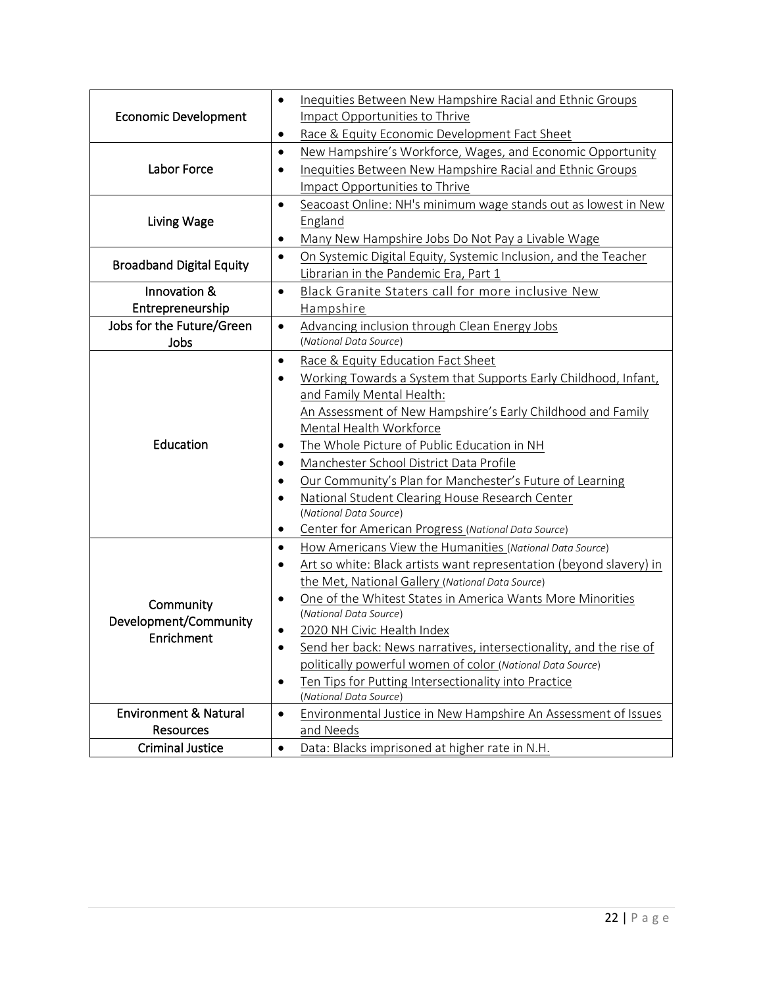| <b>Economic Development</b><br>Impact Opportunities to Thrive<br>Race & Equity Economic Development Fact Sheet<br>٠<br>New Hampshire's Workforce, Wages, and Economic Opportunity<br>$\bullet$<br>Labor Force<br>Inequities Between New Hampshire Racial and Ethnic Groups<br>٠<br>Impact Opportunities to Thrive<br>Seacoast Online: NH's minimum wage stands out as lowest in New<br>$\bullet$<br>Living Wage<br>England<br>Many New Hampshire Jobs Do Not Pay a Livable Wage<br>٠<br>On Systemic Digital Equity, Systemic Inclusion, and the Teacher<br>$\bullet$<br><b>Broadband Digital Equity</b><br>Librarian in the Pandemic Era, Part 1<br>Innovation &<br>Black Granite Staters call for more inclusive New<br>$\bullet$<br>Entrepreneurship<br>Hampshire<br>Jobs for the Future/Green<br>Advancing inclusion through Clean Energy Jobs<br>$\bullet$<br>(National Data Source)<br>Jobs<br>Race & Equity Education Fact Sheet<br>$\bullet$<br>Working Towards a System that Supports Early Childhood, Infant,<br>$\bullet$<br>and Family Mental Health:<br>An Assessment of New Hampshire's Early Childhood and Family<br>Mental Health Workforce<br>Education<br>The Whole Picture of Public Education in NH<br>٠<br>Manchester School District Data Profile<br>٠<br>Our Community's Plan for Manchester's Future of Learning<br>$\bullet$<br>National Student Clearing House Research Center<br>$\bullet$<br>(National Data Source)<br>Center for American Progress (National Data Source)<br>$\bullet$<br>How Americans View the Humanities (National Data Source)<br>$\bullet$<br>Art so white: Black artists want representation (beyond slavery) in<br>$\bullet$<br>the Met, National Gallery (National Data Source)<br>One of the Whitest States in America Wants More Minorities<br>٠<br>Community<br>(National Data Source)<br>Development/Community<br>2020 NH Civic Health Index<br>Enrichment<br>Send her back: News narratives, intersectionality, and the rise of<br>politically powerful women of color (National Data Source) |  |                                                                        |  |
|--------------------------------------------------------------------------------------------------------------------------------------------------------------------------------------------------------------------------------------------------------------------------------------------------------------------------------------------------------------------------------------------------------------------------------------------------------------------------------------------------------------------------------------------------------------------------------------------------------------------------------------------------------------------------------------------------------------------------------------------------------------------------------------------------------------------------------------------------------------------------------------------------------------------------------------------------------------------------------------------------------------------------------------------------------------------------------------------------------------------------------------------------------------------------------------------------------------------------------------------------------------------------------------------------------------------------------------------------------------------------------------------------------------------------------------------------------------------------------------------------------------------------------------------------------------------------------------------------------------------------------------------------------------------------------------------------------------------------------------------------------------------------------------------------------------------------------------------------------------------------------------------------------------------------------------------------------------------------------------------------------------------------------------------------------|--|------------------------------------------------------------------------|--|
|                                                                                                                                                                                                                                                                                                                                                                                                                                                                                                                                                                                                                                                                                                                                                                                                                                                                                                                                                                                                                                                                                                                                                                                                                                                                                                                                                                                                                                                                                                                                                                                                                                                                                                                                                                                                                                                                                                                                                                                                                                                        |  | Inequities Between New Hampshire Racial and Ethnic Groups<br>$\bullet$ |  |
|                                                                                                                                                                                                                                                                                                                                                                                                                                                                                                                                                                                                                                                                                                                                                                                                                                                                                                                                                                                                                                                                                                                                                                                                                                                                                                                                                                                                                                                                                                                                                                                                                                                                                                                                                                                                                                                                                                                                                                                                                                                        |  |                                                                        |  |
|                                                                                                                                                                                                                                                                                                                                                                                                                                                                                                                                                                                                                                                                                                                                                                                                                                                                                                                                                                                                                                                                                                                                                                                                                                                                                                                                                                                                                                                                                                                                                                                                                                                                                                                                                                                                                                                                                                                                                                                                                                                        |  |                                                                        |  |
|                                                                                                                                                                                                                                                                                                                                                                                                                                                                                                                                                                                                                                                                                                                                                                                                                                                                                                                                                                                                                                                                                                                                                                                                                                                                                                                                                                                                                                                                                                                                                                                                                                                                                                                                                                                                                                                                                                                                                                                                                                                        |  |                                                                        |  |
|                                                                                                                                                                                                                                                                                                                                                                                                                                                                                                                                                                                                                                                                                                                                                                                                                                                                                                                                                                                                                                                                                                                                                                                                                                                                                                                                                                                                                                                                                                                                                                                                                                                                                                                                                                                                                                                                                                                                                                                                                                                        |  |                                                                        |  |
|                                                                                                                                                                                                                                                                                                                                                                                                                                                                                                                                                                                                                                                                                                                                                                                                                                                                                                                                                                                                                                                                                                                                                                                                                                                                                                                                                                                                                                                                                                                                                                                                                                                                                                                                                                                                                                                                                                                                                                                                                                                        |  |                                                                        |  |
|                                                                                                                                                                                                                                                                                                                                                                                                                                                                                                                                                                                                                                                                                                                                                                                                                                                                                                                                                                                                                                                                                                                                                                                                                                                                                                                                                                                                                                                                                                                                                                                                                                                                                                                                                                                                                                                                                                                                                                                                                                                        |  |                                                                        |  |
|                                                                                                                                                                                                                                                                                                                                                                                                                                                                                                                                                                                                                                                                                                                                                                                                                                                                                                                                                                                                                                                                                                                                                                                                                                                                                                                                                                                                                                                                                                                                                                                                                                                                                                                                                                                                                                                                                                                                                                                                                                                        |  |                                                                        |  |
|                                                                                                                                                                                                                                                                                                                                                                                                                                                                                                                                                                                                                                                                                                                                                                                                                                                                                                                                                                                                                                                                                                                                                                                                                                                                                                                                                                                                                                                                                                                                                                                                                                                                                                                                                                                                                                                                                                                                                                                                                                                        |  |                                                                        |  |
|                                                                                                                                                                                                                                                                                                                                                                                                                                                                                                                                                                                                                                                                                                                                                                                                                                                                                                                                                                                                                                                                                                                                                                                                                                                                                                                                                                                                                                                                                                                                                                                                                                                                                                                                                                                                                                                                                                                                                                                                                                                        |  |                                                                        |  |
|                                                                                                                                                                                                                                                                                                                                                                                                                                                                                                                                                                                                                                                                                                                                                                                                                                                                                                                                                                                                                                                                                                                                                                                                                                                                                                                                                                                                                                                                                                                                                                                                                                                                                                                                                                                                                                                                                                                                                                                                                                                        |  |                                                                        |  |
|                                                                                                                                                                                                                                                                                                                                                                                                                                                                                                                                                                                                                                                                                                                                                                                                                                                                                                                                                                                                                                                                                                                                                                                                                                                                                                                                                                                                                                                                                                                                                                                                                                                                                                                                                                                                                                                                                                                                                                                                                                                        |  |                                                                        |  |
|                                                                                                                                                                                                                                                                                                                                                                                                                                                                                                                                                                                                                                                                                                                                                                                                                                                                                                                                                                                                                                                                                                                                                                                                                                                                                                                                                                                                                                                                                                                                                                                                                                                                                                                                                                                                                                                                                                                                                                                                                                                        |  |                                                                        |  |
|                                                                                                                                                                                                                                                                                                                                                                                                                                                                                                                                                                                                                                                                                                                                                                                                                                                                                                                                                                                                                                                                                                                                                                                                                                                                                                                                                                                                                                                                                                                                                                                                                                                                                                                                                                                                                                                                                                                                                                                                                                                        |  |                                                                        |  |
|                                                                                                                                                                                                                                                                                                                                                                                                                                                                                                                                                                                                                                                                                                                                                                                                                                                                                                                                                                                                                                                                                                                                                                                                                                                                                                                                                                                                                                                                                                                                                                                                                                                                                                                                                                                                                                                                                                                                                                                                                                                        |  |                                                                        |  |
|                                                                                                                                                                                                                                                                                                                                                                                                                                                                                                                                                                                                                                                                                                                                                                                                                                                                                                                                                                                                                                                                                                                                                                                                                                                                                                                                                                                                                                                                                                                                                                                                                                                                                                                                                                                                                                                                                                                                                                                                                                                        |  |                                                                        |  |
|                                                                                                                                                                                                                                                                                                                                                                                                                                                                                                                                                                                                                                                                                                                                                                                                                                                                                                                                                                                                                                                                                                                                                                                                                                                                                                                                                                                                                                                                                                                                                                                                                                                                                                                                                                                                                                                                                                                                                                                                                                                        |  |                                                                        |  |
|                                                                                                                                                                                                                                                                                                                                                                                                                                                                                                                                                                                                                                                                                                                                                                                                                                                                                                                                                                                                                                                                                                                                                                                                                                                                                                                                                                                                                                                                                                                                                                                                                                                                                                                                                                                                                                                                                                                                                                                                                                                        |  |                                                                        |  |
|                                                                                                                                                                                                                                                                                                                                                                                                                                                                                                                                                                                                                                                                                                                                                                                                                                                                                                                                                                                                                                                                                                                                                                                                                                                                                                                                                                                                                                                                                                                                                                                                                                                                                                                                                                                                                                                                                                                                                                                                                                                        |  |                                                                        |  |
|                                                                                                                                                                                                                                                                                                                                                                                                                                                                                                                                                                                                                                                                                                                                                                                                                                                                                                                                                                                                                                                                                                                                                                                                                                                                                                                                                                                                                                                                                                                                                                                                                                                                                                                                                                                                                                                                                                                                                                                                                                                        |  |                                                                        |  |
|                                                                                                                                                                                                                                                                                                                                                                                                                                                                                                                                                                                                                                                                                                                                                                                                                                                                                                                                                                                                                                                                                                                                                                                                                                                                                                                                                                                                                                                                                                                                                                                                                                                                                                                                                                                                                                                                                                                                                                                                                                                        |  |                                                                        |  |
|                                                                                                                                                                                                                                                                                                                                                                                                                                                                                                                                                                                                                                                                                                                                                                                                                                                                                                                                                                                                                                                                                                                                                                                                                                                                                                                                                                                                                                                                                                                                                                                                                                                                                                                                                                                                                                                                                                                                                                                                                                                        |  |                                                                        |  |
|                                                                                                                                                                                                                                                                                                                                                                                                                                                                                                                                                                                                                                                                                                                                                                                                                                                                                                                                                                                                                                                                                                                                                                                                                                                                                                                                                                                                                                                                                                                                                                                                                                                                                                                                                                                                                                                                                                                                                                                                                                                        |  |                                                                        |  |
|                                                                                                                                                                                                                                                                                                                                                                                                                                                                                                                                                                                                                                                                                                                                                                                                                                                                                                                                                                                                                                                                                                                                                                                                                                                                                                                                                                                                                                                                                                                                                                                                                                                                                                                                                                                                                                                                                                                                                                                                                                                        |  |                                                                        |  |
|                                                                                                                                                                                                                                                                                                                                                                                                                                                                                                                                                                                                                                                                                                                                                                                                                                                                                                                                                                                                                                                                                                                                                                                                                                                                                                                                                                                                                                                                                                                                                                                                                                                                                                                                                                                                                                                                                                                                                                                                                                                        |  |                                                                        |  |
|                                                                                                                                                                                                                                                                                                                                                                                                                                                                                                                                                                                                                                                                                                                                                                                                                                                                                                                                                                                                                                                                                                                                                                                                                                                                                                                                                                                                                                                                                                                                                                                                                                                                                                                                                                                                                                                                                                                                                                                                                                                        |  |                                                                        |  |
|                                                                                                                                                                                                                                                                                                                                                                                                                                                                                                                                                                                                                                                                                                                                                                                                                                                                                                                                                                                                                                                                                                                                                                                                                                                                                                                                                                                                                                                                                                                                                                                                                                                                                                                                                                                                                                                                                                                                                                                                                                                        |  |                                                                        |  |
|                                                                                                                                                                                                                                                                                                                                                                                                                                                                                                                                                                                                                                                                                                                                                                                                                                                                                                                                                                                                                                                                                                                                                                                                                                                                                                                                                                                                                                                                                                                                                                                                                                                                                                                                                                                                                                                                                                                                                                                                                                                        |  |                                                                        |  |
|                                                                                                                                                                                                                                                                                                                                                                                                                                                                                                                                                                                                                                                                                                                                                                                                                                                                                                                                                                                                                                                                                                                                                                                                                                                                                                                                                                                                                                                                                                                                                                                                                                                                                                                                                                                                                                                                                                                                                                                                                                                        |  |                                                                        |  |
|                                                                                                                                                                                                                                                                                                                                                                                                                                                                                                                                                                                                                                                                                                                                                                                                                                                                                                                                                                                                                                                                                                                                                                                                                                                                                                                                                                                                                                                                                                                                                                                                                                                                                                                                                                                                                                                                                                                                                                                                                                                        |  |                                                                        |  |
|                                                                                                                                                                                                                                                                                                                                                                                                                                                                                                                                                                                                                                                                                                                                                                                                                                                                                                                                                                                                                                                                                                                                                                                                                                                                                                                                                                                                                                                                                                                                                                                                                                                                                                                                                                                                                                                                                                                                                                                                                                                        |  |                                                                        |  |
|                                                                                                                                                                                                                                                                                                                                                                                                                                                                                                                                                                                                                                                                                                                                                                                                                                                                                                                                                                                                                                                                                                                                                                                                                                                                                                                                                                                                                                                                                                                                                                                                                                                                                                                                                                                                                                                                                                                                                                                                                                                        |  |                                                                        |  |
|                                                                                                                                                                                                                                                                                                                                                                                                                                                                                                                                                                                                                                                                                                                                                                                                                                                                                                                                                                                                                                                                                                                                                                                                                                                                                                                                                                                                                                                                                                                                                                                                                                                                                                                                                                                                                                                                                                                                                                                                                                                        |  |                                                                        |  |
|                                                                                                                                                                                                                                                                                                                                                                                                                                                                                                                                                                                                                                                                                                                                                                                                                                                                                                                                                                                                                                                                                                                                                                                                                                                                                                                                                                                                                                                                                                                                                                                                                                                                                                                                                                                                                                                                                                                                                                                                                                                        |  |                                                                        |  |
|                                                                                                                                                                                                                                                                                                                                                                                                                                                                                                                                                                                                                                                                                                                                                                                                                                                                                                                                                                                                                                                                                                                                                                                                                                                                                                                                                                                                                                                                                                                                                                                                                                                                                                                                                                                                                                                                                                                                                                                                                                                        |  |                                                                        |  |
|                                                                                                                                                                                                                                                                                                                                                                                                                                                                                                                                                                                                                                                                                                                                                                                                                                                                                                                                                                                                                                                                                                                                                                                                                                                                                                                                                                                                                                                                                                                                                                                                                                                                                                                                                                                                                                                                                                                                                                                                                                                        |  | Ten Tips for Putting Intersectionality into Practice<br>$\bullet$      |  |
| (National Data Source)                                                                                                                                                                                                                                                                                                                                                                                                                                                                                                                                                                                                                                                                                                                                                                                                                                                                                                                                                                                                                                                                                                                                                                                                                                                                                                                                                                                                                                                                                                                                                                                                                                                                                                                                                                                                                                                                                                                                                                                                                                 |  |                                                                        |  |
| <b>Environment &amp; Natural</b><br>Environmental Justice in New Hampshire An Assessment of Issues<br>$\bullet$                                                                                                                                                                                                                                                                                                                                                                                                                                                                                                                                                                                                                                                                                                                                                                                                                                                                                                                                                                                                                                                                                                                                                                                                                                                                                                                                                                                                                                                                                                                                                                                                                                                                                                                                                                                                                                                                                                                                        |  |                                                                        |  |
| Resources<br>and Needs                                                                                                                                                                                                                                                                                                                                                                                                                                                                                                                                                                                                                                                                                                                                                                                                                                                                                                                                                                                                                                                                                                                                                                                                                                                                                                                                                                                                                                                                                                                                                                                                                                                                                                                                                                                                                                                                                                                                                                                                                                 |  |                                                                        |  |
| <b>Criminal Justice</b><br>Data: Blacks imprisoned at higher rate in N.H.<br>$\bullet$                                                                                                                                                                                                                                                                                                                                                                                                                                                                                                                                                                                                                                                                                                                                                                                                                                                                                                                                                                                                                                                                                                                                                                                                                                                                                                                                                                                                                                                                                                                                                                                                                                                                                                                                                                                                                                                                                                                                                                 |  |                                                                        |  |